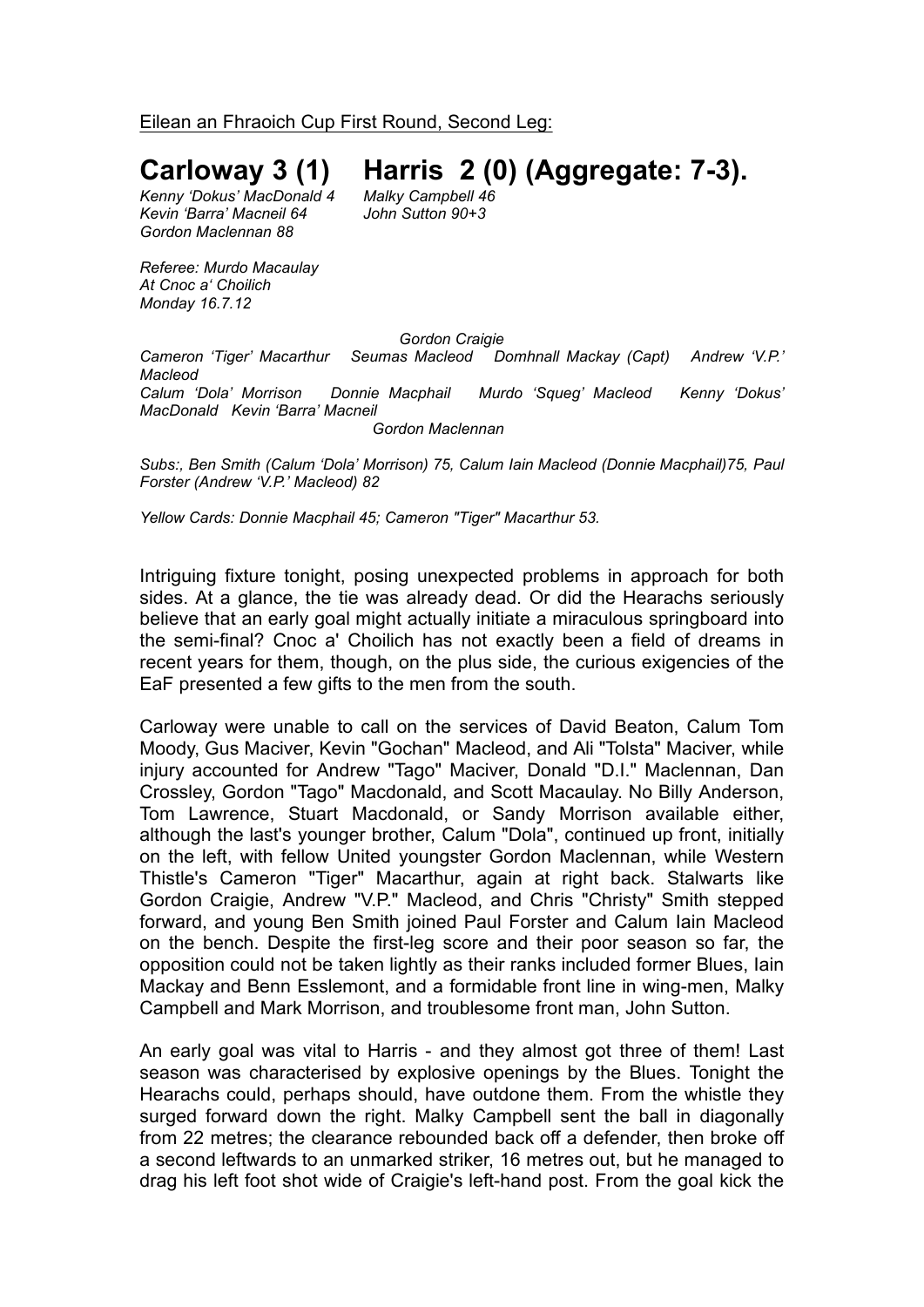Eilean an Fhraoich Cup First Round, Second Leg:

## **Carloway 3 (1) Harris 2 (0) (Aggregate: 7-3).**

 $Kenny'Dokus' MacDonald 4$ *Kevin 'Barra' Macneil 64 John Sutton 90+3 Gordon Maclennan 88*

*Referee: Murdo Macaulay At Cnoc a' Choilich Monday 16.7.12*

*Gordon Craigie*

*Cameron 'Tiger' Macarthur Seumas Macleod Domhnall Mackay (Capt) Andrew 'V.P.' Macleod Calum 'Dola' Morrison Donnie Macphail Murdo 'Squeg' Macleod Kenny 'Dokus' MacDonald Kevin 'Barra' Macneil*

*Gordon Maclennan*

*Subs:, Ben Smith (Calum 'Dola' Morrison) 75, Calum Iain Macleod (Donnie Macphail)75, Paul Forster (Andrew 'V.P.' Macleod) 82*

*Yellow Cards: Donnie Macphail 45; Cameron "Tiger" Macarthur 53.*

Intriguing fixture tonight, posing unexpected problems in approach for both sides. At a glance, the tie was already dead. Or did the Hearachs seriously believe that an early goal might actually initiate a miraculous springboard into the semi-final? Cnoc a' Choilich has not exactly been a field of dreams in recent years for them, though, on the plus side, the curious exigencies of the EaF presented a few gifts to the men from the south.

Carloway were unable to call on the services of David Beaton, Calum Tom Moody, Gus Maciver, Kevin "Gochan" Macleod, and Ali "Tolsta" Maciver, while injury accounted for Andrew "Tago" Maciver, Donald "D.I." Maclennan, Dan Crossley, Gordon "Tago" Macdonald, and Scott Macaulay. No Billy Anderson, Tom Lawrence, Stuart Macdonald, or Sandy Morrison available either, although the last's younger brother, Calum "Dola", continued up front, initially on the left, with fellow United youngster Gordon Maclennan, while Western Thistle's Cameron "Tiger" Macarthur, again at right back. Stalwarts like Gordon Craigie, Andrew "V.P." Macleod, and Chris "Christy" Smith stepped forward, and young Ben Smith joined Paul Forster and Calum Iain Macleod on the bench. Despite the first-leg score and their poor season so far, the opposition could not be taken lightly as their ranks included former Blues, Iain Mackay and Benn Esslemont, and a formidable front line in wing-men, Malky Campbell and Mark Morrison, and troublesome front man, John Sutton.

An early goal was vital to Harris - and they almost got three of them! Last season was characterised by explosive openings by the Blues. Tonight the Hearachs could, perhaps should, have outdone them. From the whistle they surged forward down the right. Malky Campbell sent the ball in diagonally from 22 metres; the clearance rebounded back off a defender, then broke off a second leftwards to an unmarked striker, 16 metres out, but he managed to drag his left foot shot wide of Craigie's left-hand post. From the goal kick the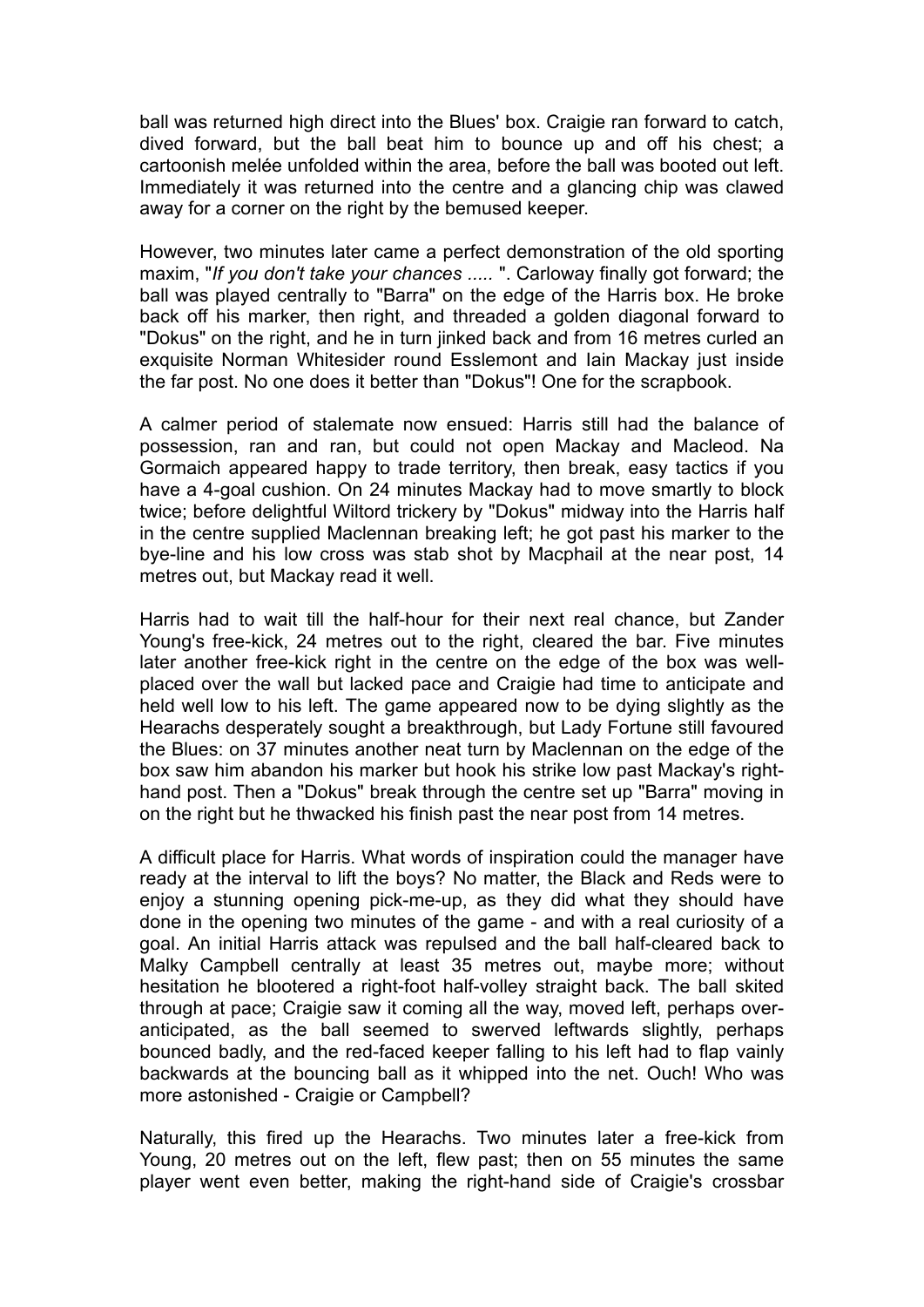ball was returned high direct into the Blues' box. Craigie ran forward to catch, dived forward, but the ball beat him to bounce up and off his chest; a cartoonish melée unfolded within the area, before the ball was booted out left. Immediately it was returned into the centre and a glancing chip was clawed away for a corner on the right by the bemused keeper.

However, two minutes later came a perfect demonstration of the old sporting maxim, "*If you don't take your chances .....* ". Carloway finally got forward; the ball was played centrally to "Barra" on the edge of the Harris box. He broke back off his marker, then right, and threaded a golden diagonal forward to "Dokus" on the right, and he in turn jinked back and from 16 metres curled an exquisite Norman Whitesider round Esslemont and Iain Mackay just inside the far post. No one does it better than "Dokus"! One for the scrapbook.

A calmer period of stalemate now ensued: Harris still had the balance of possession, ran and ran, but could not open Mackay and Macleod. Na Gormaich appeared happy to trade territory, then break, easy tactics if you have a 4-goal cushion. On 24 minutes Mackay had to move smartly to block twice; before delightful Wiltord trickery by "Dokus" midway into the Harris half in the centre supplied Maclennan breaking left; he got past his marker to the bye-line and his low cross was stab shot by Macphail at the near post, 14 metres out, but Mackay read it well.

Harris had to wait till the half-hour for their next real chance, but Zander Young's free-kick, 24 metres out to the right, cleared the bar. Five minutes later another free-kick right in the centre on the edge of the box was wellplaced over the wall but lacked pace and Craigie had time to anticipate and held well low to his left. The game appeared now to be dying slightly as the Hearachs desperately sought a breakthrough, but Lady Fortune still favoured the Blues: on 37 minutes another neat turn by Maclennan on the edge of the box saw him abandon his marker but hook his strike low past Mackay's righthand post. Then a "Dokus" break through the centre set up "Barra" moving in on the right but he thwacked his finish past the near post from 14 metres.

A difficult place for Harris. What words of inspiration could the manager have ready at the interval to lift the boys? No matter, the Black and Reds were to enjoy a stunning opening pick-me-up, as they did what they should have done in the opening two minutes of the game - and with a real curiosity of a goal. An initial Harris attack was repulsed and the ball half-cleared back to Malky Campbell centrally at least 35 metres out, maybe more; without hesitation he blootered a right-foot half-volley straight back. The ball skited through at pace; Craigie saw it coming all the way, moved left, perhaps overanticipated, as the ball seemed to swerved leftwards slightly, perhaps bounced badly, and the red-faced keeper falling to his left had to flap vainly backwards at the bouncing ball as it whipped into the net. Ouch! Who was more astonished - Craigie or Campbell?

Naturally, this fired up the Hearachs. Two minutes later a free-kick from Young, 20 metres out on the left, flew past; then on 55 minutes the same player went even better, making the right-hand side of Craigie's crossbar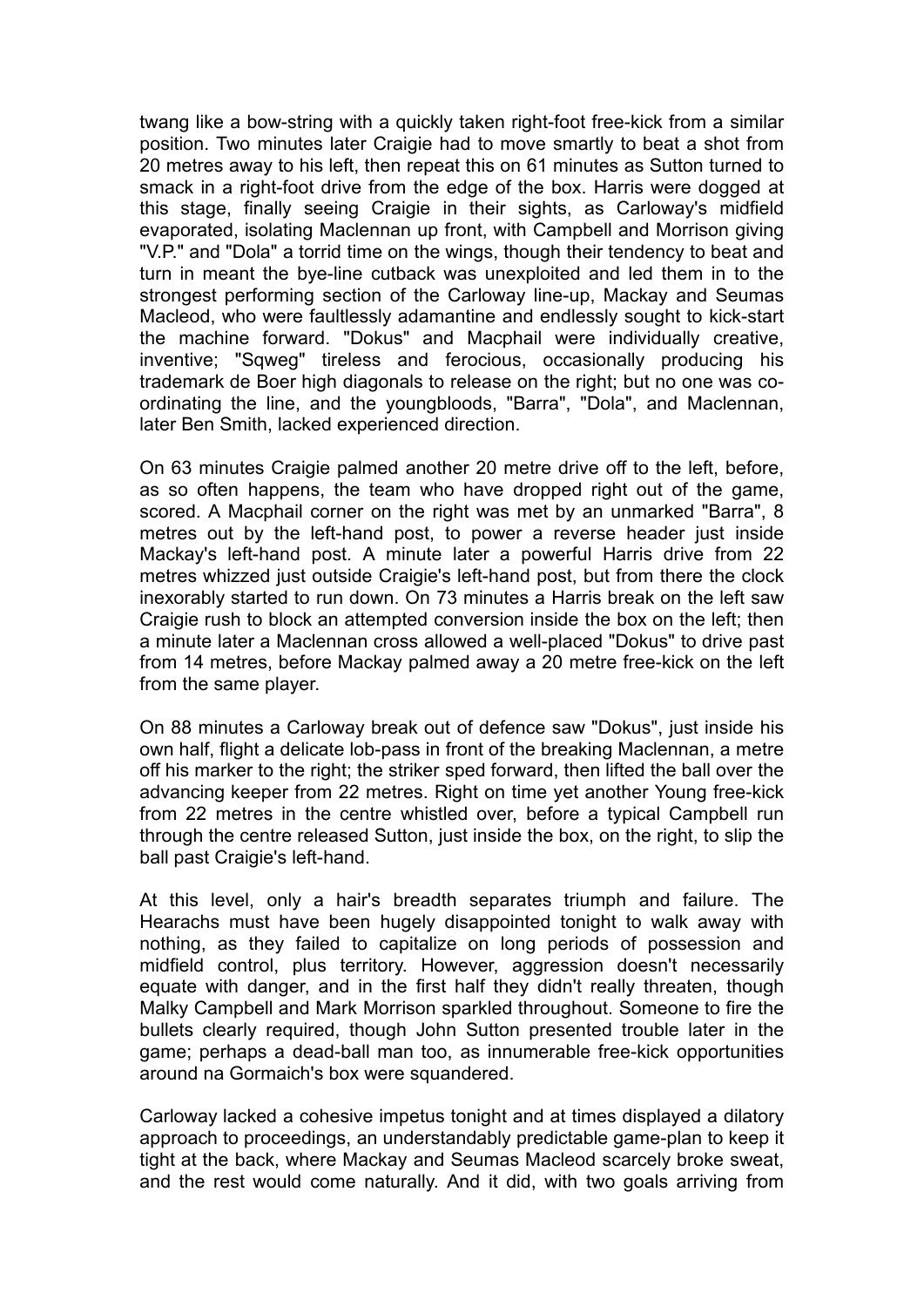twang like a bow-string with a quickly taken right-foot free-kick from a similar position. Two minutes later Craigie had to move smartly to beat a shot from 20 metres away to his left, then repeat this on 61 minutes as Sutton turned to smack in a right-foot drive from the edge of the box. Harris were dogged at this stage, finally seeing Craigie in their sights, as Carloway's midfield evaporated, isolating Maclennan up front, with Campbell and Morrison giving "V.P." and "Dola" a torrid time on the wings, though their tendency to beat and turn in meant the bye-line cutback was unexploited and led them in to the strongest performing section of the Carloway line-up, Mackay and Seumas Macleod, who were faultlessly adamantine and endlessly sought to kick-start the machine forward. "Dokus" and Macphail were individually creative, inventive; "Sqweg" tireless and ferocious, occasionally producing his trademark de Boer high diagonals to release on the right; but no one was coordinating the line, and the youngbloods, "Barra", "Dola", and Maclennan, later Ben Smith, lacked experienced direction.

On 63 minutes Craigie palmed another 20 metre drive off to the left, before, as so often happens, the team who have dropped right out of the game, scored. A Macphail corner on the right was met by an unmarked "Barra", 8 metres out by the left-hand post, to power a reverse header just inside Mackay's left-hand post. A minute later a powerful Harris drive from 22 metres whizzed just outside Craigie's left-hand post, but from there the clock inexorably started to run down. On 73 minutes a Harris break on the left saw Craigie rush to block an attempted conversion inside the box on the left; then a minute later a Maclennan cross allowed a well-placed "Dokus" to drive past from 14 metres, before Mackay palmed away a 20 metre free-kick on the left from the same player.

On 88 minutes a Carloway break out of defence saw "Dokus", just inside his own half, flight a delicate lob-pass in front of the breaking Maclennan, a metre off his marker to the right; the striker sped forward, then lifted the ball over the advancing keeper from 22 metres. Right on time yet another Young free-kick from 22 metres in the centre whistled over, before a typical Campbell run through the centre released Sutton, just inside the box, on the right, to slip the ball past Craigie's left-hand.

At this level, only a hair's breadth separates triumph and failure. The Hearachs must have been hugely disappointed tonight to walk away with nothing, as they failed to capitalize on long periods of possession and midfield control, plus territory. However, aggression doesn't necessarily equate with danger, and in the first half they didn't really threaten, though Malky Campbell and Mark Morrison sparkled throughout. Someone to fire the bullets clearly required, though John Sutton presented trouble later in the game; perhaps a dead-ball man too, as innumerable free-kick opportunities around na Gormaich's box were squandered.

Carloway lacked a cohesive impetus tonight and at times displayed a dilatory approach to proceedings, an understandably predictable game-plan to keep it tight at the back, where Mackay and Seumas Macleod scarcely broke sweat, and the rest would come naturally. And it did, with two goals arriving from